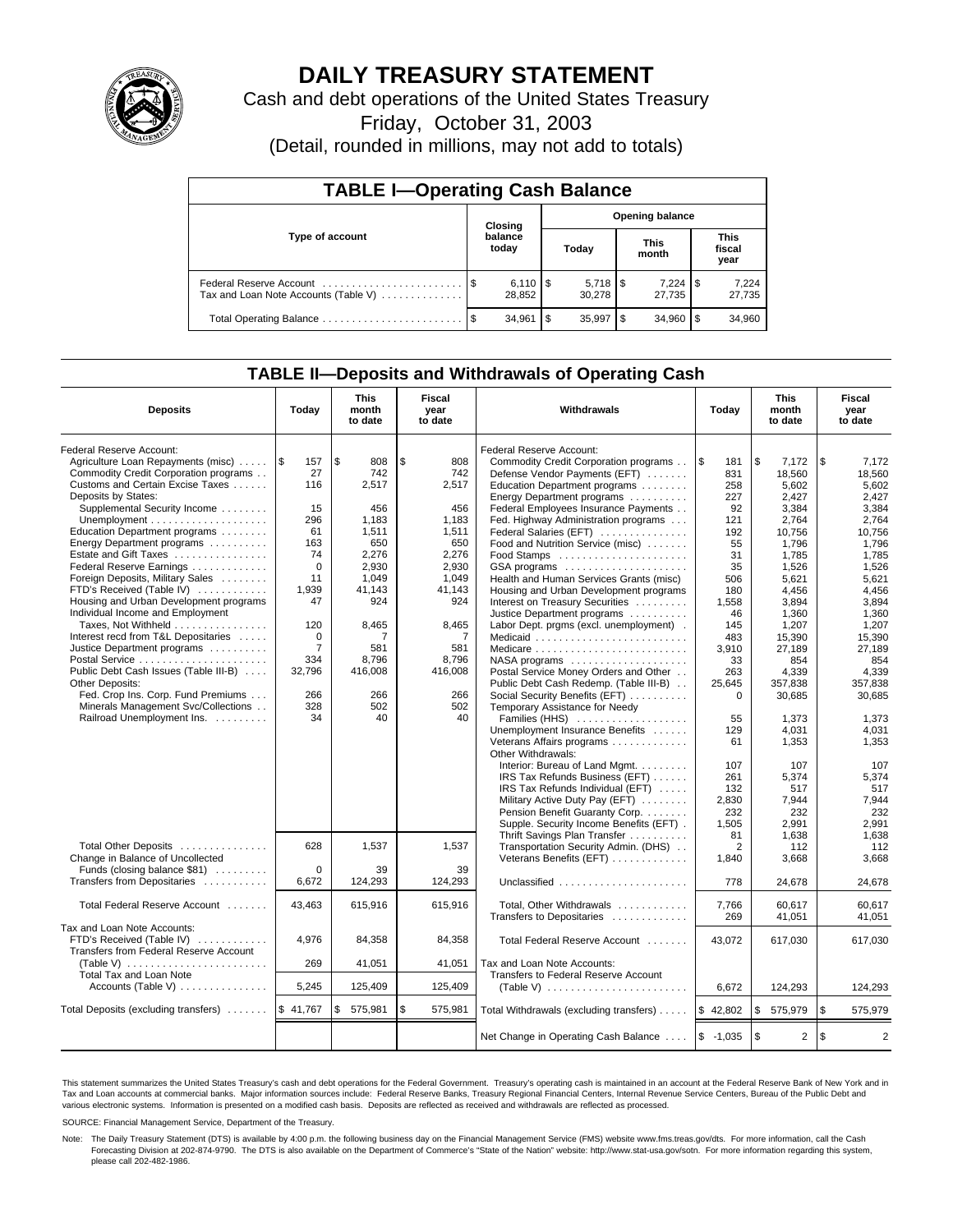

# **DAILY TREASURY STATEMENT**

Cash and debt operations of the United States Treasury

Friday, October 31, 2003

(Detail, rounded in millions, may not add to totals)

| <b>TABLE I-Operating Cash Balance</b>                           |                                   |                              |   |        |     |                      |     |                               |  |
|-----------------------------------------------------------------|-----------------------------------|------------------------------|---|--------|-----|----------------------|-----|-------------------------------|--|
|                                                                 | <b>Opening balance</b><br>Closing |                              |   |        |     |                      |     |                               |  |
| Type of account                                                 | balance<br>today                  |                              |   | Today  |     | <b>This</b><br>month |     | <b>This</b><br>fiscal<br>year |  |
| Federal Reserve Account<br>Tax and Loan Note Accounts (Table V) |                                   | $6,110$ $\sqrt{5}$<br>28.852 |   | 30.278 |     | 7,224<br>27.735      | 1\$ | 7,224<br>27,735               |  |
| Total Operating Balance                                         | - \$                              | 34.961                       | S | 35.997 | -\$ | 34.960               |     | 34,960                        |  |

## **TABLE II—Deposits and Withdrawals of Operating Cash**

| <b>Deposits</b>                                  | Today          | <b>This</b><br>month<br>to date | <b>Fiscal</b><br>year<br>to date | Withdrawals                                          | Today       | <b>This</b><br>month<br>to date | Fiscal<br>year<br>to date |
|--------------------------------------------------|----------------|---------------------------------|----------------------------------|------------------------------------------------------|-------------|---------------------------------|---------------------------|
| Federal Reserve Account:                         |                |                                 |                                  | Federal Reserve Account:                             |             |                                 |                           |
| Agriculture Loan Repayments (misc)               | 1\$<br>157     | \$<br>808                       | \$<br>808                        | Commodity Credit Corporation programs                | l \$<br>181 | l \$<br>7,172                   | \$<br>7,172               |
| Commodity Credit Corporation programs            | 27             | 742                             | 742                              | Defense Vendor Payments (EFT)                        | 831         | 18,560                          | 18,560                    |
| Customs and Certain Excise Taxes                 | 116            | 2,517                           | 2,517                            | Education Department programs                        | 258         | 5,602                           | 5,602                     |
| Deposits by States:                              |                |                                 |                                  | Energy Department programs                           | 227         | 2,427                           | 2,427                     |
| Supplemental Security Income                     | 15             | 456                             | 456                              | Federal Employees Insurance Payments                 | 92          | 3.384                           | 3.384                     |
|                                                  | 296            | 1.183                           | 1.183                            | Fed. Highway Administration programs                 | 121         | 2.764                           | 2.764                     |
| Education Department programs                    | 61             | 1,511                           | 1,511                            | Federal Salaries (EFT)                               | 192         | 10,756                          | 10.756                    |
| Energy Department programs                       | 163            | 650                             | 650                              | Food and Nutrition Service (misc)                    | 55          | 1,796                           | 1,796                     |
| Estate and Gift Taxes                            | 74             | 2,276                           | 2,276                            |                                                      | 31          | 1.785                           | 1.785                     |
| Federal Reserve Earnings                         | $\Omega$       | 2,930                           | 2,930                            | GSA programs                                         | 35          | 1,526                           | 1,526                     |
| Foreign Deposits, Military Sales                 | 11             | 1,049                           | 1,049                            | Health and Human Services Grants (misc)              | 506         | 5,621                           | 5,621                     |
| FTD's Received (Table IV)                        | 1,939          | 41,143                          | 41,143                           | Housing and Urban Development programs               | 180         | 4,456                           | 4,456                     |
| Housing and Urban Development programs           | 47             | 924                             | 924                              | Interest on Treasury Securities                      | 1,558       | 3,894                           | 3,894                     |
| Individual Income and Employment                 |                |                                 |                                  | Justice Department programs                          | 46          | 1.360                           | 1.360                     |
| Taxes, Not Withheld                              | 120            | 8,465                           | 8,465                            | Labor Dept. prgms (excl. unemployment).              | 145         | 1,207                           | 1,207                     |
| Interest recd from T&L Depositaries              | $\mathbf 0$    | 7                               | 7                                | Medicaid                                             | 483         | 15.390                          | 15.390                    |
| Justice Department programs                      | $\overline{7}$ | 581                             | 581                              | Medicare                                             | 3.910       | 27,189                          | 27.189                    |
| Postal Service                                   | 334            | 8,796                           | 8.796                            | $NASA$ programs $\ldots \ldots \ldots \ldots \ldots$ | 33          | 854                             | 854                       |
| Public Debt Cash Issues (Table III-B)            | 32,796         | 416,008                         | 416,008                          | Postal Service Money Orders and Other                | 263         | 4,339                           | 4,339                     |
| <b>Other Deposits:</b>                           |                |                                 |                                  | Public Debt Cash Redemp. (Table III-B)               | 25,645      | 357,838                         | 357.838                   |
| Fed. Crop Ins. Corp. Fund Premiums               | 266            | 266                             | 266                              | Social Security Benefits (EFT)                       | $\Omega$    | 30,685                          | 30,685                    |
| Minerals Management Svc/Collections              | 328            | 502                             | 502                              | Temporary Assistance for Needy                       |             |                                 |                           |
| Railroad Unemployment Ins.                       | 34             | 40                              | 40                               | Families (HHS)                                       | 55          | 1.373                           | 1.373                     |
|                                                  |                |                                 |                                  | Unemployment Insurance Benefits                      | 129         | 4.031                           | 4.031                     |
|                                                  |                |                                 |                                  | Veterans Affairs programs                            | 61          | 1,353                           | 1.353                     |
|                                                  |                |                                 |                                  | Other Withdrawals:                                   |             |                                 |                           |
|                                                  |                |                                 |                                  | Interior: Bureau of Land Mgmt.                       | 107         | 107                             | 107                       |
|                                                  |                |                                 |                                  | IRS Tax Refunds Business (EFT)                       | 261         | 5.374                           | 5,374                     |
|                                                  |                |                                 |                                  | IRS Tax Refunds Individual (EFT)                     | 132         | 517                             | 517                       |
|                                                  |                |                                 |                                  | Military Active Duty Pay (EFT)                       | 2,830       | 7,944                           | 7,944                     |
|                                                  |                |                                 |                                  | Pension Benefit Guaranty Corp.                       | 232         | 232                             | 232                       |
|                                                  |                |                                 |                                  | Supple. Security Income Benefits (EFT).              | 1,505       | 2,991                           | 2,991                     |
|                                                  |                |                                 |                                  | Thrift Savings Plan Transfer                         | 81          | 1.638                           | 1.638                     |
| Total Other Deposits                             | 628            | 1,537                           | 1.537                            | Transportation Security Admin. (DHS)                 | 2           | 112                             | 112                       |
| Change in Balance of Uncollected                 |                |                                 |                                  | Veterans Benefits (EFT)                              | 1,840       | 3,668                           | 3.668                     |
| Funds (closing balance \$81)                     | $\Omega$       | 39                              | 39                               |                                                      |             |                                 |                           |
| Transfers from Depositaries                      | 6,672          | 124,293                         | 124,293                          | Unclassified                                         | 778         | 24,678                          | 24,678                    |
| Total Federal Reserve Account                    | 43,463         | 615,916                         | 615,916                          | Total, Other Withdrawals                             | 7,766       | 60,617                          | 60.617                    |
|                                                  |                |                                 |                                  | Transfers to Depositaries                            | 269         | 41,051                          | 41,051                    |
| Tax and Loan Note Accounts:                      |                |                                 |                                  |                                                      |             |                                 |                           |
| FTD's Received (Table IV)                        | 4.976          | 84.358                          | 84.358                           | Total Federal Reserve Account                        | 43.072      | 617.030                         | 617.030                   |
| Transfers from Federal Reserve Account           |                |                                 |                                  |                                                      |             |                                 |                           |
| (Table V)                                        | 269            | 41,051                          | 41,051                           | Tax and Loan Note Accounts:                          |             |                                 |                           |
| Total Tax and Loan Note                          |                |                                 |                                  | Transfers to Federal Reserve Account                 |             |                                 |                           |
| Accounts (Table V)                               | 5,245          | 125,409                         | 125,409                          |                                                      | 6.672       | 124,293                         | 124,293                   |
|                                                  |                |                                 |                                  |                                                      |             |                                 |                           |
| Total Deposits (excluding transfers)    \$41,767 |                | \$<br>575,981                   | \$<br>575,981                    | Total Withdrawals (excluding transfers)              | \$42,802    | l \$<br>575,979                 | \$<br>575,979             |
|                                                  |                |                                 |                                  |                                                      |             |                                 |                           |
|                                                  |                |                                 |                                  | Net Change in Operating Cash Balance                 | $$ -1,035$  | l \$<br>$\overline{2}$          | \$<br>$\overline{2}$      |

This statement summarizes the United States Treasury's cash and debt operations for the Federal Government. Treasury's operating cash is maintained in an account at the Federal Reserve Bank of New York and in Tax and Loan accounts at commercial banks. Major information sources include: Federal Reserve Banks, Treasury Regional Financial Centers, Internal Revenue Service Centers, Bureau of the Public Debt and<br>various electronic s

SOURCE: Financial Management Service, Department of the Treasury.

Note: The Daily Treasury Statement (DTS) is available by 4:00 p.m. the following business day on the Financial Management Service (FMS) website www.fms.treas.gov/dts. For more information, call the Cash Forecasting Division at 202-874-9790. The DTS is also available on the Department of Commerce's "State of the Nation" website: http://www.stat-usa.gov/sotn. For more information regarding this system, please call 202-482-1986.